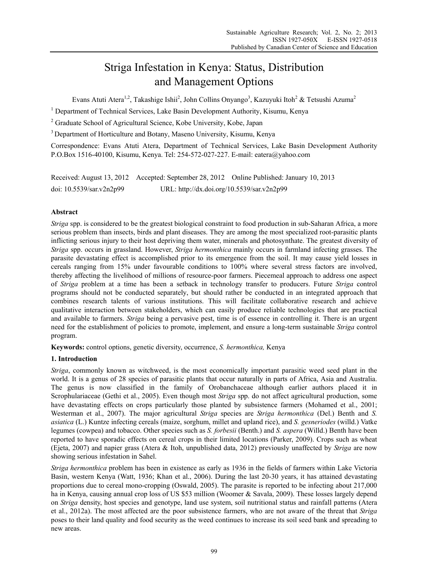# Striga Infestation in Kenya: Status, Distribution and Management Options

Evans Atuti Atera<sup>1,2</sup>, Takashige Ishii<sup>2</sup>, John Collins Onyango<sup>3</sup>, Kazuyuki Itoh<sup>2</sup> & Tetsushi Azuma<sup>2</sup>

<sup>1</sup> Department of Technical Services, Lake Basin Development Authority, Kisumu, Kenya

<sup>2</sup> Graduate School of Agricultural Science, Kobe University, Kobe, Japan

3 Department of Horticulture and Botany, Maseno University, Kisumu, Kenya

Correspondence: Evans Atuti Atera, Department of Technical Services, Lake Basin Development Authority P.O.Box 1516-40100, Kisumu, Kenya. Tel: 254-572-027-227. E-mail: eatera@yahoo.com

|                          |                                            | Received: August 13, 2012 Accepted: September 28, 2012 Online Published: January 10, 2013 |
|--------------------------|--------------------------------------------|-------------------------------------------------------------------------------------------|
| doi: 10.5539/sar.v2n2p99 | URL: http://dx.doi.org/10.5539/sar.v2n2p99 |                                                                                           |

# **Abstract**

*Striga* spp. is considered to be the greatest biological constraint to food production in sub-Saharan Africa, a more serious problem than insects, birds and plant diseases. They are among the most specialized root-parasitic plants inflicting serious injury to their host depriving them water, minerals and photosynthate. The greatest diversity of *Striga* spp. occurs in grassland. However, *Striga hermonthica* mainly occurs in farmland infecting grasses. The parasite devastating effect is accomplished prior to its emergence from the soil. It may cause yield losses in cereals ranging from 15% under favourable conditions to 100% where several stress factors are involved, thereby affecting the livelihood of millions of resource-poor farmers. Piecemeal approach to address one aspect of *Striga* problem at a time has been a setback in technology transfer to producers. Future *Striga* control programs should not be conducted separately, but should rather be conducted in an integrated approach that combines research talents of various institutions. This will facilitate collaborative research and achieve qualitative interaction between stakeholders, which can easily produce reliable technologies that are practical and available to farmers. *Striga* being a pervasive pest, time is of essence in controlling it. There is an urgent need for the establishment of policies to promote, implement, and ensure a long-term sustainable *Striga* control program.

**Keywords:** control options, genetic diversity, occurrence, *S. hermonthica,* Kenya

# **1. Introduction**

*Striga*, commonly known as witchweed, is the most economically important parasitic weed seed plant in the world. It is a genus of 28 species of parasitic plants that occur naturally in parts of Africa, Asia and Australia. The genus is now classified in the family of Orobanchaceae although earlier authors placed it in Scrophulariaceae (Gethi et al., 2005). Even though most *Striga* spp. do not affect agricultural production, some have devastating effects on crops particularly those planted by subsistence farmers (Mohamed et al., 2001; Westerman et al., 2007). The major agricultural *Striga* species are *Striga hermonthica* (Del.) Benth and *S. asiatica* (L.) Kuntze infecting cereals (maize, sorghum, millet and upland rice), and *S. gesneriodes* (willd.) Vatke legumes (cowpea) and tobacco. Other species such as *S. forbesii* (Benth.) and *S. aspera* (Willd.) Benth have been reported to have sporadic effects on cereal crops in their limited locations (Parker, 2009). Crops such as wheat (Ejeta, 2007) and napier grass (Atera & Itoh, unpublished data, 2012) previously unaffected by *Striga* are now showing serious infestation in Sahel.

*Striga hermonthica* problem has been in existence as early as 1936 in the fields of farmers within Lake Victoria Basin, western Kenya (Watt, 1936; Khan et al., 2006). During the last 20-30 years, it has attained devastating proportions due to cereal mono-cropping (Oswald, 2005). The parasite is reported to be infecting about 217,000 ha in Kenya, causing annual crop loss of US \$53 million (Woomer & Savala, 2009). These losses largely depend on *Striga* density, host species and genotype, land use system, soil nutritional status and rainfall patterns (Atera et al., 2012a). The most affected are the poor subsistence farmers, who are not aware of the threat that *Striga*  poses to their land quality and food security as the weed continues to increase its soil seed bank and spreading to new areas.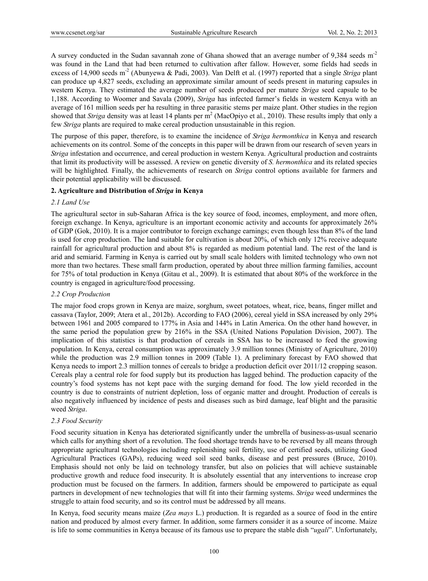A survey conducted in the Sudan savannah zone of Ghana showed that an average number of 9,384 seeds m<sup>-2</sup> was found in the Land that had been returned to cultivation after fallow. However, some fields had seeds in excess of 14,900 seeds m<sup>-2</sup> (Abunyewa & Padi, 2003). Van Delft et al. (1997) reported that a single *Striga* plant can produce up 4,827 seeds, excluding an approximate similar amount of seeds present in maturing capsules in western Kenya. They estimated the average number of seeds produced per mature *Striga* seed capsule to be 1,188. According to Woomer and Savala (2009), *Striga* has infected farmer's fields in western Kenya with an average of 161 million seeds per ha resulting in three parasitic stems per maize plant. Other studies in the region showed that *Striga* density was at least 14 plants per m<sup>2</sup> (MacOpiyo et al., 2010). These results imply that only a few *Striga* plants are required to make cereal production unsustainable in this region.

The purpose of this paper, therefore, is to examine the incidence of *Striga hermonthica* in Kenya and research achievements on its control. Some of the concepts in this paper will be drawn from our research of seven years in *Striga* infestation and occurrence, and cereal production in western Kenya. Agricultural production and costraints that limit its productivity will be assessed. A review on genetic diversity of *S. hermonthica* and its related species will be highlighted*.* Finally, the achievements of research on *Striga* control options available for farmers and their potential applicability will be discussed.

## **2. Agriculture and Distribution of** *Striga* **in Kenya**

## *2.1 Land Use*

The agricultural sector in sub-Saharan Africa is the key source of food, incomes, employment, and more often, foreign exchange. In Kenya, agriculture is an important economic activity and accounts for approximately 26% of GDP (Gok, 2010). It is a major contributor to foreign exchange earnings; even though less than 8% of the land is used for crop production. The land suitable for cultivation is about 20%, of which only 12% receive adequate rainfall for agricultural production and about 8% is regarded as medium potential land. The rest of the land is arid and semiarid. Farming in Kenya is carried out by small scale holders with limited technology who own not more than two hectares. These small farm production, operated by about three million farming families, account for 75% of total production in Kenya (Gitau et al., 2009). It is estimated that about 80% of the workforce in the country is engaged in agriculture/food processing.

## *2.2 Crop Production*

The major food crops grown in Kenya are maize, sorghum, sweet potatoes, wheat, rice, beans, finger millet and cassava (Taylor, 2009; Atera et al., 2012b). According to FAO (2006), cereal yield in SSA increased by only 29% between 1961 and 2005 compared to 177% in Asia and 144% in Latin America. On the other hand however, in the same period the population grew by 216% in the SSA (United Nations Population Division, 2007). The implication of this statistics is that production of cereals in SSA has to be increased to feed the growing population. In Kenya, cereal consumption was approximately 3.9 million tonnes (Ministry of Agriculture, 2010) while the production was 2.9 million tonnes in 2009 (Table 1). A preliminary forecast by FAO showed that Kenya needs to import 2.3 million tonnes of cereals to bridge a production deficit over 2011/12 cropping season. Cereals play a central role for food supply but its production has lagged behind. The production capacity of the country's food systems has not kept pace with the surging demand for food. The low yield recorded in the country is due to constraints of nutrient depletion, loss of organic matter and drought. Production of cereals is also negatively influenced by incidence of pests and diseases such as bird damage, leaf blight and the parasitic weed *Striga*.

## *2.3 Food Security*

Food security situation in Kenya has deteriorated significantly under the umbrella of business-as-usual scenario which calls for anything short of a revolution. The food shortage trends have to be reversed by all means through appropriate agricultural technologies including replenishing soil fertility, use of certified seeds, utilizing Good Agricultural Practices (GAPs), reducing weed soil seed banks, disease and pest pressures (Bruce, 2010). Emphasis should not only be laid on technology transfer, but also on policies that will achieve sustainable productive growth and reduce food insecurity. It is absolutely essential that any interventions to increase crop production must be focused on the farmers. In addition, farmers should be empowered to participate as equal partners in development of new technologies that will fit into their farming systems. *Striga* weed undermines the struggle to attain food security, and so its control must be addressed by all means.

In Kenya, food security means maize (*Zea mays* L.) production. It is regarded as a source of food in the entire nation and produced by almost every farmer. In addition, some farmers consider it as a source of income. Maize is life to some communities in Kenya because of its famous use to prepare the stable dish "*ugali*". Unfortunately,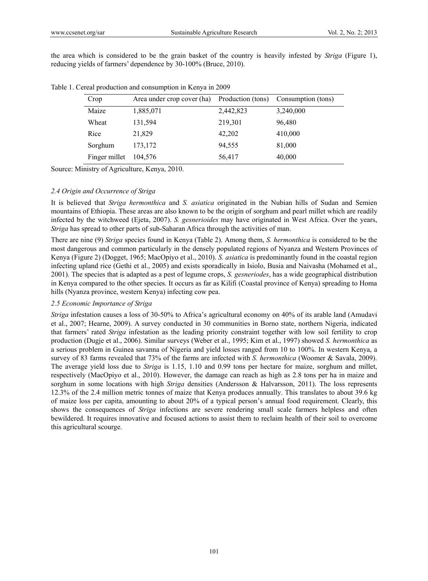the area which is considered to be the grain basket of the country is heavily infested by *Striga* (Figure 1), reducing yields of farmers' dependence by 30-100% (Bruce, 2010).

| Crop          | Area under crop cover (ha) | Production (tons) | Consumption (tons) |
|---------------|----------------------------|-------------------|--------------------|
| Maize         | 1,885,071                  | 2,442,823         | 3,240,000          |
| Wheat         | 131,594                    | 219,301           | 96,480             |
| Rice          | 21,829                     | 42,202            | 410,000            |
| Sorghum       | 173,172                    | 94,555            | 81,000             |
| Finger millet | 104.576                    | 56,417            | 40,000             |

Table 1. Cereal production and consumption in Kenya in 2009

Source: Ministry of Agriculture, Kenya, 2010.

## *2.4 Origin and Occurrence of Striga*

It is believed that *Striga hermonthica* and *S. asiatica* originated in the Nubian hills of Sudan and Semien mountains of Ethiopia. These areas are also known to be the origin of sorghum and pearl millet which are readily infected by the witchweed (Ejeta, 2007). *S. gesnerioides* may have originated in West Africa. Over the years, *Striga* has spread to other parts of sub-Saharan Africa through the activities of man.

There are nine (9) *Striga* species found in Kenya (Table 2). Among them, *S. hermonthica* is considered to be the most dangerous and common particularly in the densely populated regions of Nyanza and Western Provinces of Kenya (Figure 2) (Dogget, 1965; MacOpiyo et al., 2010). *S. asiatica* is predominantly found in the coastal region infecting upland rice (Gethi et al., 2005) and exists sporadically in Isiolo, Busia and Naivasha (Mohamed et al., 2001). The species that is adapted as a pest of legume crops, *S. gesneriodes*, has a wide geographical distribution in Kenya compared to the other species. It occurs as far as Kilifi (Coastal province of Kenya) spreading to Homa hills (Nyanza province, western Kenya) infecting cow pea.

#### *2.5 Economic Importance of Striga*

*Striga* infestation causes a loss of 30-50% to Africa's agricultural economy on 40% of its arable land (Amudavi et al., 2007; Hearne, 2009). A survey conducted in 30 communities in Borno state, northern Nigeria, indicated that farmers' rated *Striga* infestation as the leading priority constraint together with low soil fertility to crop production (Dugje et al., 2006). Similar surveys (Weber et al., 1995; Kim et al., 1997) showed *S. hermonthica* as a serious problem in Guinea savanna of Nigeria and yield losses ranged from 10 to 100%. In western Kenya, a survey of 83 farms revealed that 73% of the farms are infected with *S. hermonthica* (Woomer & Savala, 2009). The average yield loss due to *Striga* is 1.15, 1.10 and 0.99 tons per hectare for maize, sorghum and millet, respectively (MacOpiyo et al., 2010). However, the damage can reach as high as 2.8 tons per ha in maize and sorghum in some locations with high *Striga* densities (Andersson & Halvarsson, 2011). The loss represents 12.3% of the 2.4 million metric tonnes of maize that Kenya produces annually. This translates to about 39.6 kg of maize loss per capita, amounting to about 20% of a typical person's annual food requirement. Clearly, this shows the consequences of *Striga* infections are severe rendering small scale farmers helpless and often bewildered. It requires innovative and focused actions to assist them to reclaim health of their soil to overcome this agricultural scourge.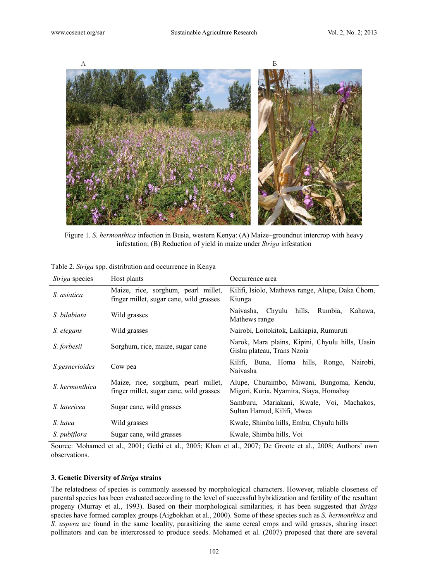

Figure 1. *S. hermonthica* infection in Busia, western Kenya: (A) Maize–groundnut intercrop with heavy infestation; (B) Reduction of yield in maize under *Striga* infestation

| <i>Striga</i> species | Host plants                                                                    | Occurrence area                                                                     |  |
|-----------------------|--------------------------------------------------------------------------------|-------------------------------------------------------------------------------------|--|
| S. asiatica           | Maize, rice, sorghum, pearl millet,<br>finger millet, sugar cane, wild grasses | Kilifi, Isiolo, Mathews range, Alupe, Daka Chom,<br>Kiunga                          |  |
| S. bilabiata          | Wild grasses                                                                   | Naivasha, Chyulu<br>hills, Rumbia,<br>Kahawa,<br>Mathews range                      |  |
| S. elegans            | Wild grasses                                                                   | Nairobi, Loitokitok, Laikiapia, Rumuruti                                            |  |
| S. forbesii           | Sorghum, rice, maize, sugar cane                                               | Narok, Mara plains, Kipini, Chyulu hills, Uasin<br>Gishu plateau, Trans Nzoia       |  |
| <i>S.gesnerioides</i> | Cow pea                                                                        | Kilifi, Buna, Homa hills, Rongo,<br>Nairobi.<br>Naivasha                            |  |
| S. hermonthica        | Maize, rice, sorghum, pearl millet,<br>finger millet, sugar cane, wild grasses | Alupe, Churaimbo, Miwani, Bungoma, Kendu,<br>Migori, Kuria, Nyamira, Siaya, Homabay |  |
| S. latericea          | Sugar cane, wild grasses                                                       | Samburu, Mariakani, Kwale, Voi, Machakos,<br>Sultan Hamud, Kilifi, Mwea             |  |
| S. lutea              | Wild grasses                                                                   | Kwale, Shimba hills, Embu, Chyulu hills                                             |  |
| S. pubiflora          | Sugar cane, wild grasses                                                       | Kwale, Shimba hills, Voi                                                            |  |

Table 2. *Striga* spp. distribution and occurrence in Kenya

Source: Mohamed et al., 2001; Gethi et al., 2005; Khan et al., 2007; De Groote et al., 2008; Authors' own observations.

#### **3. Genetic Diversity of** *Striga* **strains**

The relatedness of species is commonly assessed by morphological characters. However, reliable closeness of parental species has been evaluated according to the level of successful hybridization and fertility of the resultant progeny (Murray et al., 1993). Based on their morphological similarities, it has been suggested that *Striga* species have formed complex groups (Aigbokhan et al., 2000). Some of these species such as *S. hermonthica* and *S. aspera* are found in the same locality, parasitizing the same cereal crops and wild grasses, sharing insect pollinators and can be intercrossed to produce seeds. Mohamed et al. (2007) proposed that there are several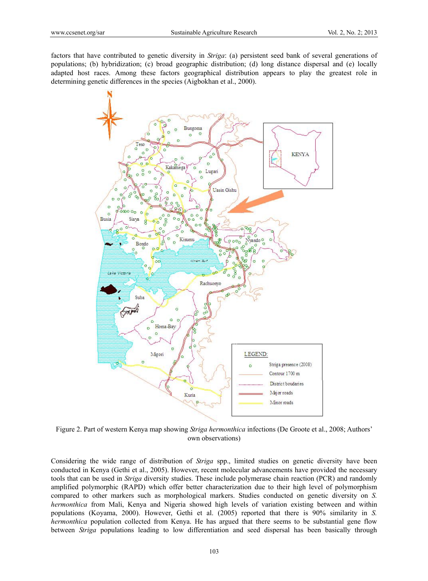factors that have contributed to genetic diversity in *Striga*: (a) persistent seed bank of several generations of populations; (b) hybridization; (c) broad geographic distribution; (d) long distance dispersal and (e) locally adapted host races. Among these factors geographical distribution appears to play the greatest role in determining genetic differences in the species (Aigbokhan et al., 2000).



Figure 2. Part of western Kenya map showing *Striga hermonthica* infections (De Groote et al., 2008; Authors' own observations)

Considering the wide range of distribution of *Striga* spp., limited studies on genetic diversity have been conducted in Kenya (Gethi et al., 2005). However, recent molecular advancements have provided the necessary tools that can be used in *Striga* diversity studies. These include polymerase chain reaction (PCR) and randomly amplified polymorphic (RAPD) which offer better characterization due to their high level of polymorphism compared to other markers such as morphological markers. Studies conducted on genetic diversity on *S. hermonthica* from Mali, Kenya and Nigeria showed high levels of variation existing between and within populations (Koyama, 2000). However, Gethi et al. (2005) reported that there is 90% similarity in *S. hermonthica* population collected from Kenya. He has argued that there seems to be substantial gene flow between *Striga* populations leading to low differentiation and seed dispersal has been basically through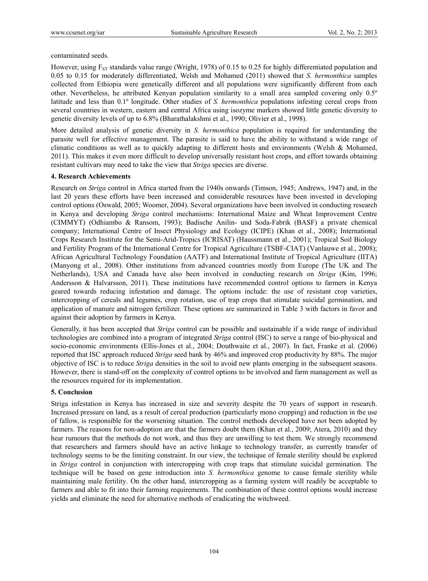contaminated seeds.

However, using  $F_{ST}$  standards value range (Wright, 1978) of 0.15 to 0.25 for highly differentiated population and 0.05 to 0.15 for moderately differentiated, Welsh and Mohamed (2011) showed that *S. hermonthica* samples collected from Ethiopia were genetically different and all populations were significantly different from each other. Nevertheless, he attributed Kenyan population similarity to a small area sampled covering only 0.5º latitude and less than 0.1º longitude. Other studies of *S. hermonthica* populations infesting cereal crops from several countries in western, eastern and central Africa using isozyme markers showed little genetic diversity to genetic diversity levels of up to 6.8% (Bharathalakshmi et al., 1990; Olivier et al., 1998).

More detailed analysis of genetic diversity in *S. hermonthica* population is required for understanding the parasite well for effective management. The parasite is said to have the ability to withstand a wide range of climatic conditions as well as to quickly adapting to different hosts and environments (Welsh & Mohamed, 2011). This makes it even more difficult to develop universally resistant host crops, and effort towards obtaining resistant cultivars may need to take the view that *Striga* species are diverse.

## **4. Research Achievements**

Research on *Striga* control in Africa started from the 1940s onwards (Timson, 1945; Andrews, 1947) and, in the last 20 years these efforts have been increased and considerable resources have been invested in developing control options (Oswald, 2005; Woomer, 2004). Several organizations have been involved in conducting research in Kenya and developing *Striga* control mechanisms: International Maize and Wheat Improvement Centre (CIMMYT) (Odhiambo & Ransom, 1993); Badische Anilin- und Soda-Fabrik (BASF) a private chemical company; International Centre of Insect Physiology and Ecology (ICIPE) (Khan et al., 2008); International Crops Research Institute for the Semi-Arid-Tropics (ICRISAT) (Haussmann et al., 2001); Tropical Soil Biology and Fertility Program of the International Centre for Tropical Agriculture (TSBF-CIAT) (Vanlauwe et al., 2008); African Agricultural Technology Foundation (AATF) and International Institute of Tropical Agriculture (IITA) (Manyong et al., 2008). Other institutions from advanced countries mostly from Europe (The UK and The Netherlands), USA and Canada have also been involved in conducting research on *Striga* (Kim, 1996; Andersson & Halvarsson, 2011). These institutions have recommended control options to farmers in Kenya geared towards reducing infestation and damage. The options include: the use of resistant crop varieties, intercropping of cereals and legumes, crop rotation, use of trap crops that stimulate suicidal germination, and application of manure and nitrogen fertilizer. These options are summarized in Table 3 with factors in favor and against their adoption by farmers in Kenya.

Generally, it has been accepted that *Striga* control can be possible and sustainable if a wide range of individual technologies are combined into a program of integrated *Striga* control (ISC) to serve a range of bio-physical and socio-economic environments (Ellis-Jones et al., 2004; Douthwaite et al., 2007). In fact, Franke et al. (2006) reported that ISC approach reduced *Striga* seed bank by 46% and improved crop productivity by 88%. The major objective of ISC is to reduce *Striga* densities in the soil to avoid new plants emerging in the subsequent seasons. However, there is stand-off on the complexity of control options to be involved and farm management as well as the resources required for its implementation.

## **5. Conclusion**

Striga infestation in Kenya has increased in size and severity despite the 70 years of support in research. Increased pressure on land, as a result of cereal production (particularly mono cropping) and reduction in the use of fallow, is responsible for the worsening situation. The control methods developed have not been adopted by farmers. The reasons for non-adoption are that the farmers doubt them (Khan et al., 2009; Atera, 2010) and they hear rumours that the methods do not work, and thus they are unwilling to test them. We strongly recommend that researchers and farmers should have an active linkage to technology transfer, as currently transfer of technology seems to be the limiting constraint. In our view, the technique of female sterility should be explored in *Striga* control in conjunction with intercropping with crop traps that stimulate suicidal germination. The technique will be based on gene introduction into *S. hermonthica* genome to cause female sterility while maintaining male fertility. On the other hand, intercropping as a farming system will readily be acceptable to farmers and able to fit into their farming requirements. The combination of these control options would increase yields and eliminate the need for alternative methods of eradicating the witchweed.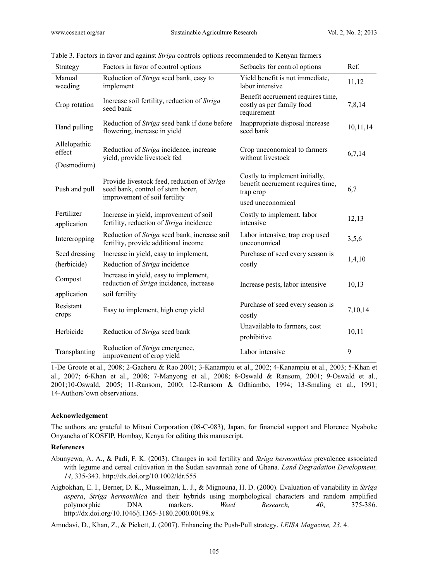| Strategy                              | Factors in favor of control options                                                                                                        | Setbacks for control options                                                                          | Ref.     |
|---------------------------------------|--------------------------------------------------------------------------------------------------------------------------------------------|-------------------------------------------------------------------------------------------------------|----------|
| Manual<br>weeding                     | Reduction of Striga seed bank, easy to<br>implement                                                                                        | Yield benefit is not immediate,<br>labor intensive                                                    | 11,12    |
| Crop rotation                         | Benefit accruement requires time,<br>Increase soil fertility, reduction of Striga<br>costly as per family food<br>seed bank<br>requirement |                                                                                                       | 7,8,14   |
| Hand pulling                          | Reduction of Striga seed bank if done before<br>flowering, increase in yield                                                               | Inappropriate disposal increase<br>seed bank                                                          | 10,11,14 |
| Allelopathic<br>effect<br>(Desmodium) | Reduction of Striga incidence, increase<br>yield, provide livestock fed                                                                    | Crop uneconomical to farmers<br>without livestock                                                     | 6,7,14   |
| Push and pull                         | Provide livestock feed, reduction of Striga<br>seed bank, control of stem borer,<br>improvement of soil fertility                          | Costly to implement initially,<br>benefit accruement requires time,<br>trap crop<br>used uneconomical | 6,7      |
| Fertilizer<br>application             | Increase in yield, improvement of soil<br>fertility, reduction of Striga incidence                                                         | Costly to implement, labor<br>intensive                                                               | 12,13    |
| Intercropping                         | Reduction of Striga seed bank, increase soil<br>fertility, provide additional income                                                       | Labor intensive, trap crop used<br>uneconomical                                                       | 3,5,6    |
| Seed dressing<br>(herbicide)          | Increase in yield, easy to implement,<br>Reduction of Striga incidence                                                                     | Purchase of seed every season is<br>costly                                                            | 1,4,10   |
| Compost                               | Increase in yield, easy to implement,<br>reduction of Striga incidence, increase                                                           | Increase pests, labor intensive                                                                       | 10,13    |
| application                           | soil fertility                                                                                                                             |                                                                                                       |          |
| Resistant<br>crops                    | Easy to implement, high crop yield                                                                                                         | Purchase of seed every season is<br>costly                                                            | 7,10,14  |
| Herbicide                             | Reduction of Striga seed bank                                                                                                              | Unavailable to farmers, cost<br>prohibitive                                                           | 10,11    |
| Transplanting                         | Reduction of Striga emergence,<br>improvement of crop yield                                                                                | Labor intensive                                                                                       | 9        |

Table 3. Factors in favor and against *Striga* controls options recommended to Kenyan farmers

1-De Groote et al., 2008; 2-Gacheru & Rao 2001; 3-Kanampiu et al., 2002; 4-Kanampiu et al., 2003; 5-Khan et al., 2007; 6-Khan et al., 2008; 7-Manyong et al., 2008; 8-Oswald & Ransom, 2001; 9-Oswald et al., 2001;10-Oswald, 2005; 11-Ransom, 2000; 12-Ransom & Odhiambo, 1994; 13-Smaling et al., 1991; 14-Authors'own observations.

#### **Acknowledgement**

The authors are grateful to Mitsui Corporation (08-C-083), Japan, for financial support and Florence Nyaboke Onyancha of KOSFIP, Hombay, Kenya for editing this manuscript.

#### **References**

- Abunyewa, A. A., & Padi, F. K. (2003). Changes in soil fertility and *Striga hermonthica* prevalence associated with legume and cereal cultivation in the Sudan savannah zone of Ghana. *Land Degradation Development, 14*, 335-343. http://dx.doi.org/10.1002/ldr.555
- Aigbokhan, E. I., Berner, D. K., Musselman, L. J., & Mignouna, H. D. (2000). Evaluation of variability in *Striga aspera*, *Striga hermonthica* and their hybrids using morphological characters and random amplified polymorphic DNA markers. *Weed Research, 40*, 375-386. http://dx.doi.org/10.1046/j.1365-3180.2000.00198.x

Amudavi, D., Khan, Z., & Pickett, J. (2007). Enhancing the Push-Pull strategy. *LEISA Magazine, 23*, 4.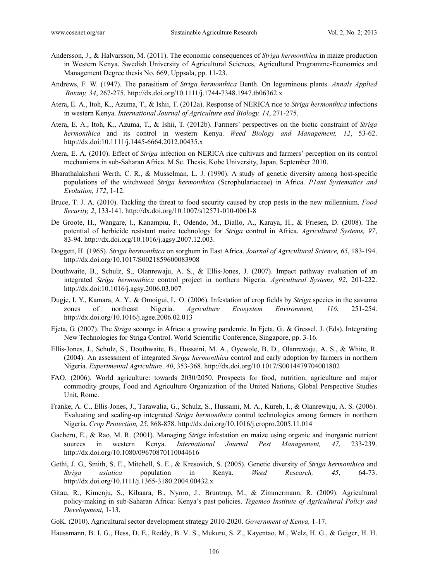- Andersson, J., & Halvarsson, M. (2011). The economic consequences of *Striga hermonthica* in maize production in Western Kenya. Swedish University of Agricultural Sciences, Agricultural Programme-Economics and Management Degree thesis No. 669, Uppsala, pp. 11-23.
- Andrews, F. W. (1947). The parasitism of *Striga hermonthica* Benth. On leguminous plants. *Annals Applied Botany, 34*, 267-275. http://dx.doi.org/10.1111/j.1744-7348.1947.tb06362.x
- Atera, E. A., Itoh, K., Azuma, T., & Ishii, T. (2012a). Response of NERICA rice to *Striga hermonthica* infections in western Kenya. *International Journal of Agriculture and Biology, 14*, 271-275.
- Atera, E. A., Itoh, K., Azuma, T., & Ishii, T. (2012b). Farmers' perspectives on the biotic constraint of *Striga hermonthica* and its control in western Kenya. *Weed Biology and Management, 12*, 53-62. http://dx.doi:10.1111/j.1445-6664.2012.00435.x
- Atera, E. A. (2010). Effect of *Striga* infection on NERICA rice cultivars and farmers' perception on its control mechanisms in sub-Saharan Africa. M.Sc. Thesis, Kobe University, Japan, September 2010.
- Bharathalakshmi Werth, C. R., & Musselman, L. J. (1990). A study of genetic diversity among host-specific populations of the witchweed *Striga hermonthica* (Scrophulariaceae) in Africa. *P1ant Systematics and Evolution, 172*, 1-12.
- Bruce, T. J. A. (2010). Tackling the threat to food security caused by crop pests in the new millennium. *Food Security, 2*, 133-141. http://dx.doi.org/10.1007/s12571-010-0061-8
- De Groote, H., Wangare, l., Kanampiu, F., Odendo, M., Diallo, A., Karaya, H., & Friesen, D. (2008). The potential of herbicide resistant maize technology for *Striga* control in Africa. *Agricultural Systems, 97*, 83-94. http://dx.doi.org/10.1016/j.agsy.2007.12.003.
- Doggett, H. (1965). *Striga hermonthica* on sorghum in East Africa. *Journal of Agricultural Science, 65*, 183-194. http://dx.doi.org/10.1017/S0021859600083908
- Douthwaite, B., Schulz, S., Olanrewaju, A. S., & Ellis-Jones, J. (2007). Impact pathway evaluation of an integrated *Striga hermonthica* control project in northern Nigeria. *Agricultural Systems, 92*, 201-222. http://dx.doi:10.1016/j.agsy.2006.03.007
- Dugje, I. Y., Kamara, A. Y., & Omoigui, L. O. (2006). Infestation of crop fields by *Striga* species in the savanna zones of northeast Nigeria. *Agriculture Ecosystem Environment, 116*, 251-254. http://dx.doi.org/10.1016/j.agee.2006.02.013
- Ejeta, G. (2007). The *Striga* scourge in Africa: a growing pandemic. In Ejeta, G., & Gressel, J. (Eds). Integrating New Technologies for Striga Control. World Scientific Conference, Singapore, pp. 3-16.
- Ellis-Jones, J., Schulz, S., Douthwaite, B., Hussaini, M. A., Oyewole, B. D., Olanrewaju, A. S., & White, R. (2004). An assessment of integrated *Striga hermonthica* control and early adoption by farmers in northern Nigeria. *Experimental Agriculture, 40*, 353-368. http://dx.doi.org/10.1017/S0014479704001802
- FAO. (2006). World agriculture: towards 2030/2050. Prospects for food, nutrition, agriculture and major commodity groups, Food and Agriculture Organization of the United Nations, Global Perspective Studies Unit, Rome.
- Franke, A. C., Ellis-Jones, J., Tarawalia, G., Schulz, S., Hussaini, M. A., Kureh, I., & Olanrewaju, A. S. (2006). Evaluating and scaling-up integrated *Striga hermonthica* control technologies among farmers in northern Nigeria. *Crop Protection, 25*, 868-878. http://dx.doi.org/10.1016/j.cropro.2005.11.014
- Gacheru, E., & Rao, M. R. (2001). Managing *Striga* infestation on maize using organic and inorganic nutrient sources in western Kenya. *International Journal Pest Management, 47*, 233-239. http://dx.doi.org/10.1080/09670870110044616
- Gethi, J. G., Smith, S. E., Mitchell, S. E., & Kresovich, S. (2005). Genetic diversity of *Striga hermonthica* and *Striga asiatica* population in Kenya. *Weed Research, 45*, 64-73. http://dx.doi.org/10.1111/j.1365-3180.2004.00432.x
- Gitau, R., Kimenju, S., Kibaara, B., Nyoro, J., Bruntrup, M., & Zimmermann, R. (2009). Agricultural policy-making in sub-Saharan Africa: Kenya's past policies. *Tegemeo Institute of Agricultural Policy and Development,* 1-13.
- GoK. (2010). Agricultural sector development strategy 2010-2020. *Government of Kenya,* 1-17.

Haussmann, B. I. G., Hess, D. E., Reddy, B. V. S., Mukuru, S. Z., Kayentao, M., Welz, H. G., & Geiger, H. H.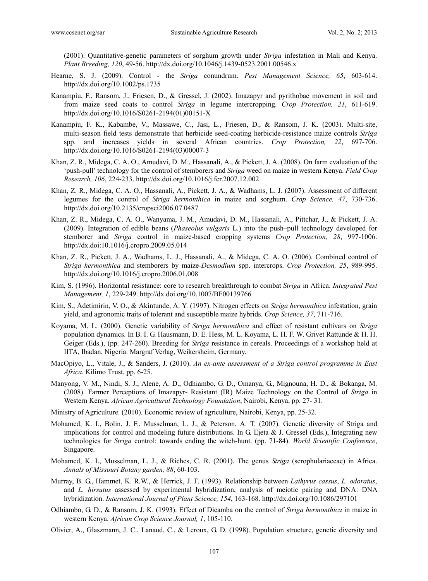(2001). Quantitative-genetic parameters of sorghum growth under *Striga* infestation in Mali and Kenya. *Plant Breeding, 120*, 49-56. http://dx.doi.org/10.1046/j.1439-0523.2001.00546.x

- Hearne, S. J. (2009). Control the *Striga* conundrum. *Pest Management Science, 65*, 603-614. http://dx.doi.org/10.1002/ps.1735
- Kanampiu, F., Ransom, J., Friesen, D., & Gressel, J. (2002). Imazapyr and pyrithobac movement in soil and from maize seed coats to control *Striga* in legume intercropping. *Crop Protection, 21*, 611-619. http://dx.doi.org/10.1016/S0261-2194(01)00151-X
- Kanampiu, F. K., Kabambe, V., Massawe, C., Jasi, L., Friesen, D., & Ransom, J. K. (2003). Multi-site, multi-season field tests demonstrate that herbicide seed-coating herbicide-resistance maize controls *Striga*  spp. and increases yields in several African countries. *Crop Protection, 22*, 697-706. http://dx.doi.org/10.1016/S0261-2194(03)00007-3
- Khan, Z. R., Midega, C. A. O., Amudavi, D. M., Hassanali, A., & Pickett, J. A. (2008). On farm evaluation of the 'push-pull' technology for the control of stemborers and *Striga* weed on maize in western Kenya. *Field Crop Research, 106*, 224-233. http://dx.doi.org/10.1016/j.fcr.2007.12.002
- Khan, Z. R., Midega, C. A. O., Hassanali, A., Pickett, J. A., & Wadhams, L. J. (2007). Assessment of different legumes for the control of *Striga hermonthica* in maize and sorghum. *Crop Science, 47*, 730-736. http://dx.doi.org/10.2135/cropsci2006.07.0487
- Khan, Z. R., Midega, C. A. O., Wanyama, J. M., Amudavi, D. M., Hassanali, A., Pittchar, J., & Pickett, J. A. (2009). Integration of edible beans (*Phaseolus vulgaris* L.) into the push–pull technology developed for stemborer and *Striga* control in maize-based cropping systems *Crop Protection, 28*, 997-1006. http://dx.doi:10.1016/j.cropro.2009.05.014
- Khan, Z. R., Pickett, J. A., Wadhams, L. J., Hassanali, A., & Midega, C. A. O. (2006). Combined control of *Striga hermonthica* and stemborers by maize-*Desmodium* spp. intercrops. *Crop Protection, 25*, 989-995. http://dx.doi.org/10.1016/j.cropro.2006.01.008
- Kim, S. (1996). Horizontal resistance: core to research breakthrough to combat *Striga* in Africa. *Integrated Pest Management, 1*, 229-249. http://dx.doi.org/10.1007/BF00139766
- Kim, S., Adetimirin, V. O., & Akintunde, A. Y. (1997). Nitrogen effects on *Striga hermonthica* infestation, grain yield, and agronomic traits of tolerant and susceptible maize hybrids. *Crop Science, 37*, 711-716.
- Koyama, M. L. (2000). Genetic variability of *Striga hermonthica* and effect of resistant cultivars on *Striga* population dynamics. In B. I. G. Hausmann, D. E. Hess, M. L. Koyama, L. H. F. W. Grivet Rattunde & H. H. Geiger (Eds.), (pp. 247-260). Breeding for *Striga* resistance in cereals. Proceedings of a workshop held at IITA, Ibadan, Nigeria. Margraf Verlag, Weikersheim, Germany.
- MacOpiyo, L., Vitale, J., & Sanders, J. (2010). *An ex-ante assessment of a Striga control programme in East Africa.* Kilimo Trust, pp. 6-25.
- Manyong, V. M., Nindi, S. J., Alene, A. D., Odhiambo, G. D., Omanya, G., Mignouna, H. D., & Bokanga, M. (2008). Farmer Perceptions of Imazapyr- Resistant (IR) Maize Technology on the Control of *Striga* in Western Kenya*. African Agricultural Technology Foundation*, Nairobi, Kenya, pp. 27- 31.
- Ministry of Agriculture. (2010). Economic review of agriculture, Nairobi, Kenya, pp. 25-32.
- Mohamed, K. I., Bolin, J. F., Musselman, L. J., & Peterson, A. T. (2007). Genetic diversity of Striga and implications for control and modeling future distributions. In G. Ejeta & J. Gressel (Eds.), Integrating new technologies for *Striga* control: towards ending the witch-hunt. (pp. 71-84). *World Scientific Conference*, Singapore.
- Mohamed, K. I., Musselman, L. J., & Riches, C. R. (2001). The genus *Striga* (scrophulariaceae) in Africa. *Annals of Missouri Botany garden, 88*, 60-103.
- Murray, B. G., Hammet, K. R.W., & Herrick, J. F. (1993). Relationship between *Lathyrus cassus*, *L. odoratus*, and *L. hirsutus* assessed by experimental hybridization, analysis of meiotic pairing and DNA: DNA hybridization. *International Journal of Plant Science, 154*, 163-168. http://dx.doi.org/10.1086/297101
- Odhiambo, G. D., & Ransom, J. K. (1993). Effect of Dicamba on the control of *Striga hermonthica* in maize in western Kenya. *African Crop Science Journal, 1*, 105-110.
- Olivier, A., Glaszmann, J. C., Lanaud, C., & Leroux, G. D. (1998). Population structure, genetic diversity and